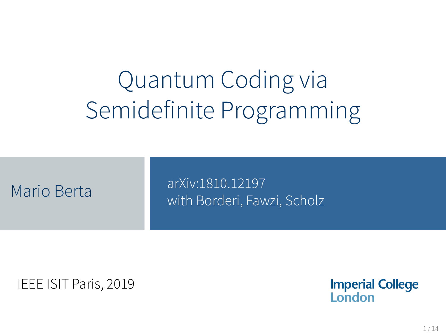# Quantum Coding via Semidefinite Programming

arXiv:1810.12197 Mario Berta **Mario Berta Mario Berta** Muslim Borderi, Fawzi, Scholz

IEEE ISIT Paris, 2019

**Imperial College** London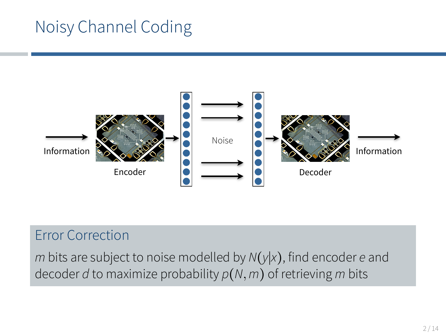## Noisy Channel Coding



#### Error Correction

*m* bits are subject to noise modelled by *N*(*y*∣*x*), find encoder *e* and decoder *d* to maximize probability *p*(*N,m*) of retrieving *m* bits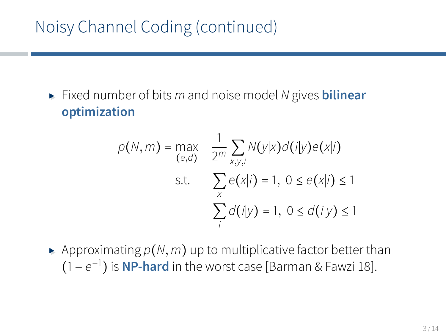## Noisy Channel Coding (continued)

▸ Fixed number of bits *<sup>m</sup>* and noise model *<sup>N</sup>* gives **bilinear optimization**

$$
p(N, m) = \max_{(e,d)} \frac{1}{2^m} \sum_{x,y,i} N(y|x) d(i|y) e(x|i)
$$
  
s.t. 
$$
\sum_{x} e(x|i) = 1, 0 \le e(x|i) \le 1
$$

$$
\sum_{i} d(i|y) = 1, 0 \le d(i|y) \le 1
$$

 $\blacktriangleright$  Approximating  $p(N, m)$  up to multiplicative factor better than (1 − *e* −1 ) is **NP-hard** in the worst case [Barman & Fawzi 18].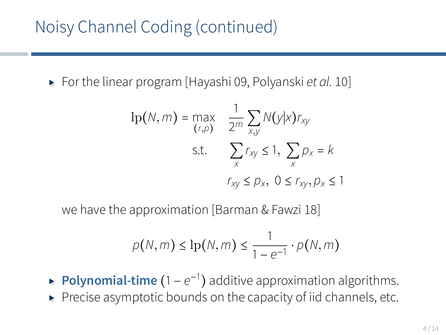▸ For the linear program [Hayashi 09, Polyanski *et al.* 10]

$$
lp(N, m) = \max_{(r, p)} \quad \frac{1}{2^m} \sum_{x, y} N(y|x) r_{xy}
$$
  
s.t. 
$$
\sum_{x} r_{xy} \le 1, \sum_{x} p_x = k
$$

$$
r_{xy} \le p_x, \ 0 \le r_{xy}, p_x \le 1
$$

we have the approximation [Barman & Fawzi 18]

$$
p(N,m) \leq \ln(N,m) \leq \frac{1}{1-e^{-1}} \cdot p(N,m)
$$

- ► **Polynomial-time** (1  $e^{-1}$ ) additive approximation algorithms.
- ▸ Precise asymptotic bounds on the capacity of iid channels, etc.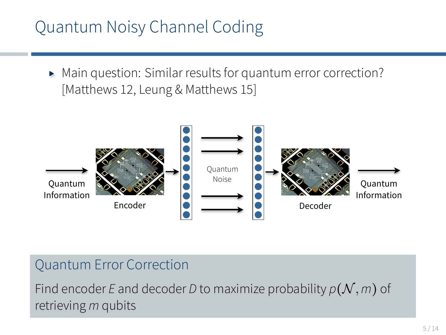## Quantum Noisy Channel Coding

▸ Main question: Similar results for quantum error correction? [Matthews 12, Leung & Matthews 15]



#### Quantum Error Correction

Find encoder *E* and decoder *D* to maximize probability  $p(\mathcal{N}, m)$  of retrieving *m* qubits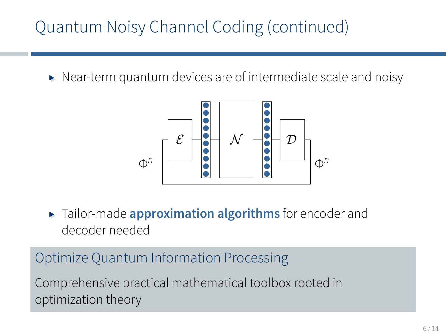## Quantum Noisy Channel Coding (continued)

▸ Near-term quantum devices are of intermediate scale and noisy



▸ Tailor-made **approximation algorithms** for encoder and decoder needed

Optimize Quantum Information Processing Comprehensive practical mathematical toolbox rooted in optimization theory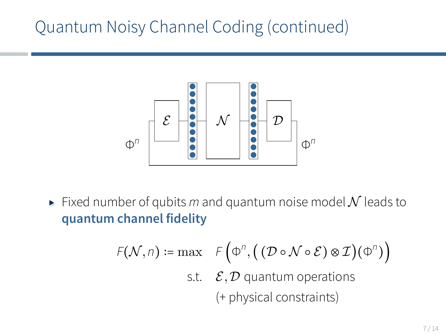### Quantum Noisy Channel Coding (continued)



 $\blacktriangleright$  Fixed number of qubits *m* and quantum noise model N leads to **quantum channel fidelity**

$$
F(\mathcal{N}, n) := \max \quad F\left(\Phi^n, \left(\left(\mathcal{D} \circ \mathcal{N} \circ \mathcal{E}\right) \otimes \mathcal{I}\right)(\Phi^n)\right)
$$
  
s.t.  $\mathcal{E}, \mathcal{D}$  quantum operations  
(+ physical constraints)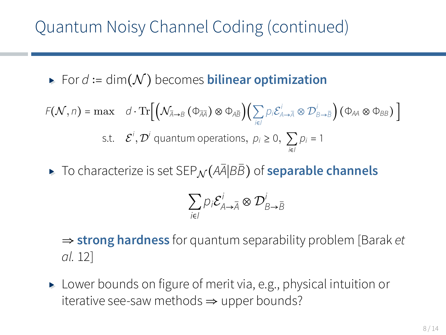## Quantum Noisy Channel Coding (continued)

▸ For *<sup>d</sup>* ∶= dim(N ) becomes **bilinear optimization**

$$
F(\mathcal{N}, n) = \max \quad d \cdot \text{Tr}\Big[\Big(\mathcal{N}_{\bar{A}\to B}(\Phi_{\bar{A}\bar{A}}) \otimes \Phi_{A\bar{B}}\Big) \Big(\sum_{i \in I} p_i \mathcal{E}_{A\to \bar{A}}^i \otimes \mathcal{D}_{B\to \bar{B}}^i\Big) (\Phi_{A\bar{A}} \otimes \Phi_{B\bar{B}})\Big]
$$
\ns.t.  $\mathcal{E}^i, \mathcal{D}^i$  quantum operations,  $p_i \ge 0, \sum_{i \in I} p_i = 1$ 

▸ To characterize is set SEP<sup>N</sup> (*A*¯*A*∣*BB*¯) of **separable channels**

$$
\sum_{i\in I} p_i \mathcal{E}_{A\rightarrow \overline{A}}^i \otimes \mathcal{D}_{B\rightarrow \overline{B}}^i
$$

⇒ **strong hardness** for quantum separability problem [Barak *et al.* 12]

▸ Lower bounds on figure of merit via, e.g., physical intuition or iterative see-saw methods  $\Rightarrow$  upper bounds?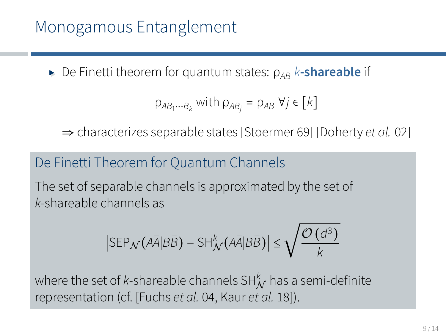► De Finetti theorem for quantum states:  $ρ_{AB}$  *k***-shareable** if

$$
\rho_{AB_1\cdots B_k} \text{ with } \rho_{AB_j} = \rho_{AB} \ \forall j \in [k]
$$

⇒ characterizes separable states [Stoermer 69] [Doherty *et al.* 02]

#### De Finetti Theorem for Quantum Channels

The set of separable channels is approximated by the set of *k*-shareable channels as

$$
\left|\text{SEP}_{\mathcal{N}}\big(\bar{A\bar{A}}|B\bar{B}\big)-\text{SH}^k_{\mathcal{N}}\big(\bar{A\bar{A}}|B\bar{B}\big)\right|\leq \sqrt{\frac{\mathcal{O}\left(d^3\right)}{k}}
$$

where the set of *k*-shareable channels SH<sup>k</sup> has a semi-definite representation (cf. [Fuchs *et al.* 04, Kaur *et al.* 18]).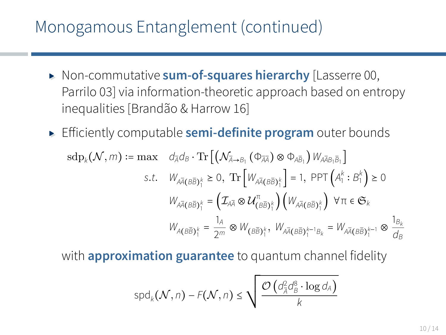#### Monogamous Entanglement (continued)

- ▸ Non-commutative **sum-of-squares hierarchy** [Lasserre 00, Parrilo 03] via information-theoretic approach based on entropy inequalities [Brandão & Harrow 16]
- ▸ Efficiently computable **semi-definite program** outer bounds

$$
\begin{split} \mathrm{sdp}_k(\mathcal{N},m) := \max \quad d_{\bar{A}}d_B \cdot \mathrm{Tr}\left[\left(\mathcal{N}_{\bar{A}\to B_1}\left(\Phi_{\bar{A}\bar{A}}\right)\otimes\Phi_{A\bar{B}_1}\right) W_{A\bar{A}B_1\bar{B}_1}\right] \\ \textrm{s.t.} \quad W_{A\bar{A}}(B\bar{B})^\kappa_1 &\geq 0, \ \mathrm{Tr}\left[W_{A\bar{A}}(B\bar{B})^\kappa_1\right] = 1, \ \mathrm{PPT}\left(A^\kappa_1:B^\kappa_1\right) \geq 0 \\ W_{A\bar{A}}(B\bar{B})^\kappa_1 &= \left(\mathcal{I}_{A\bar{A}}\otimes \mathcal{U}^{\pi}_{(B\bar{B})^\kappa_1}\right)\left(W_{A\bar{A}}(B\bar{B})^\kappa_1\right) \ \forall \pi \in \mathfrak{S}_k \\ W_{A}(B\bar{B})^\kappa_1 &= \frac{1_A}{2m}\otimes W_{(B\bar{B})^\kappa_1}, \ W_{A\bar{A}}(B\bar{B})^{\kappa-1}_1B_k &= W_{A\bar{A}}(B\bar{B})^{\kappa-1}_1 \otimes \frac{1_{B_k}}{d_B} \end{split}
$$

with **approximation guarantee** to quantum channel fidelity

$$
\text{spd}_k(\mathcal{N},n) - F(\mathcal{N},n) \leq \sqrt{\frac{\mathcal{O}\left(d_A^2d_B^8\cdot \log d_A\right)}{k}}
$$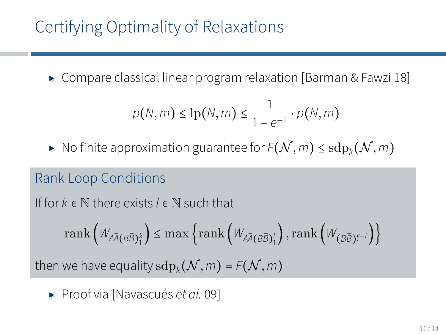## Certifying Optimality of Relaxations

▸ Compare classical linear program relaxation [Barman & Fawzi 18]

$$
p(N,m) \leq \ln(N,m) \leq \frac{1}{1-e^{-1}} \cdot p(N,m)
$$

▶ No finite approximation guarantee for  $F(N, m)$  ≤  $\mathrm{sdp}_k(N, m)$ 

#### Rank Loop Conditions

If for *k* ∈ N there exists *l* ∈ N such that

$$
\mathrm{rank}\left(W_{A\overline{A}(B\overline{B})_1^k}\right)\leq \mathrm{max}\left\{\mathrm{rank}\left(W_{A\overline{A}(B\overline{B})_1^l}\right),\mathrm{rank}\left(W_{\left(B\overline{B}\right)_1^{k-l}}\right)\right\}
$$

then we have equality  $\text{sdp}_k(\mathcal{N}, m)$  =  $F(\mathcal{N}, m)$ 

▸ Proof via [Navascués *et al.* 09]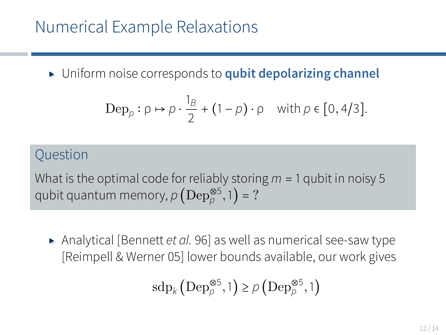▸ Uniform noise corresponds to **qubit depolarizing channel**

$$
\operatorname{Dep}_p: \rho \mapsto \rho \cdot \frac{1_B}{2} + (1 - \rho) \cdot \rho \quad \text{with } \rho \in [0, 4/3].
$$

#### **Ouestion**

What is the optimal code for reliably storing *m* = 1 qubit in noisy 5 qubit quantum memory,  $\rho\left(\text{Dep}_{\rho}^{\otimes 5},1\right)$  = ?

▸ Analytical [Bennett *et al.* 96] as well as numerical see-saw type [Reimpell & Werner 05] lower bounds available, our work gives

$$
\textnormal{sdp}_k\left(\textnormal{Dep}^{\otimes 5}_{\rho},1\right)\geq\rho\left(\textnormal{Dep}^{\otimes 5}_{\rho},1\right)
$$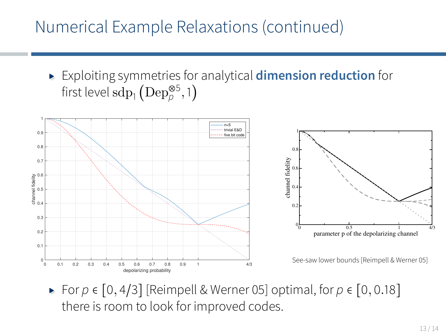#### Numerical Example Relaxations (continued)

▸ Exploiting symmetries for analytical **dimension reduction** for first level  $\mathrm{sdp}_1\left(\mathrm{Dep}_{\rho}^{\otimes 5},1\right)$ 



▸ For *<sup>p</sup>* <sup>∈</sup> [0*,* <sup>4</sup>/3] [Reimpell & Werner 05] optimal, for *<sup>p</sup>* <sup>∈</sup> [0*,* <sup>0</sup>*.*18] there is room to look for improved codes.